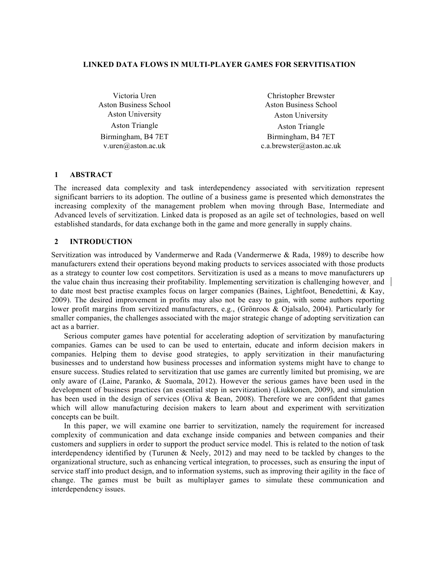# **LINKED DATA FLOWS IN MULTI-PLAYER GAMES FOR SERVITISATION**

Victoria Uren Aston Business School Aston University Aston University Aston Triangle Aston Triangle Birmingham, B4 7ET v.uren@aston.ac.uk

Christopher Brewster Aston Business School Birmingham, B4 7ET c.a.brewster@aston.ac.uk

#### **1 ABSTRACT**

The increased data complexity and task interdependency associated with servitization represent significant barriers to its adoption. The outline of a business game is presented which demonstrates the increasing complexity of the management problem when moving through Base, Intermediate and Advanced levels of servitization. Linked data is proposed as an agile set of technologies, based on well established standards, for data exchange both in the game and more generally in supply chains.

#### **2 INTRODUCTION**

Servitization was introduced by Vandermerwe and Rada (Vandermerwe & Rada, 1989) to describe how manufacturers extend their operations beyond making products to services associated with those products as a strategy to counter low cost competitors. Servitization is used as a means to move manufacturers up the value chain thus increasing their profitability. Implementing servitization is challenging however, and to date most best practise examples focus on larger companies (Baines, Lightfoot, Benedettini, & Kay, 2009). The desired improvement in profits may also not be easy to gain, with some authors reporting lower profit margins from servitized manufacturers, e.g., (Grönroos & Ojalsalo, 2004). Particularly for smaller companies, the challenges associated with the major strategic change of adopting servitization can act as a barrier.

Serious computer games have potential for accelerating adoption of servitization by manufacturing companies. Games can be used to can be used to entertain, educate and inform decision makers in companies. Helping them to devise good strategies, to apply servitization in their manufacturing businesses and to understand how business processes and information systems might have to change to ensure success. Studies related to servitization that use games are currently limited but promising, we are only aware of (Laine, Paranko, & Suomala, 2012). However the serious games have been used in the development of business practices (an essential step in servitization) (Liukkonen, 2009), and simulation has been used in the design of services (Oliva & Bean, 2008). Therefore we are confident that games which will allow manufacturing decision makers to learn about and experiment with servitization concepts can be built.

In this paper, we will examine one barrier to servitization, namely the requirement for increased complexity of communication and data exchange inside companies and between companies and their customers and suppliers in order to support the product service model. This is related to the notion of task interdependency identified by (Turunen & Neely, 2012) and may need to be tackled by changes to the organizational structure, such as enhancing vertical integration, to processes, such as ensuring the input of service staff into product design, and to information systems, such as improving their agility in the face of change. The games must be built as multiplayer games to simulate these communication and interdependency issues.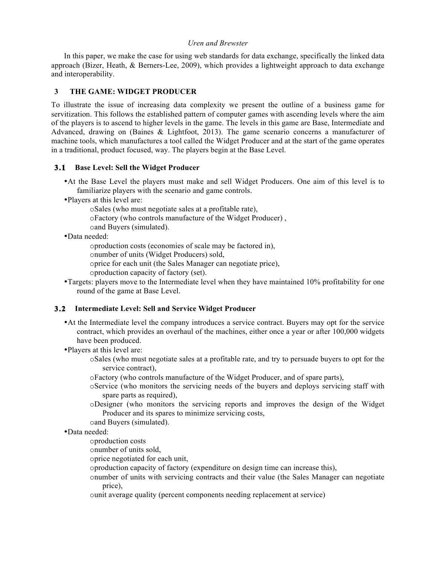In this paper, we make the case for using web standards for data exchange, specifically the linked data approach (Bizer, Heath, & Berners-Lee, 2009), which provides a lightweight approach to data exchange and interoperability.

## **3 THE GAME: WIDGET PRODUCER**

To illustrate the issue of increasing data complexity we present the outline of a business game for servitization. This follows the established pattern of computer games with ascending levels where the aim of the players is to ascend to higher levels in the game. The levels in this game are Base, Intermediate and Advanced, drawing on (Baines & Lightfoot, 2013). The game scenario concerns a manufacturer of machine tools, which manufactures a tool called the Widget Producer and at the start of the game operates in a traditional, product focused, way. The players begin at the Base Level.

## **3.1 Base Level: Sell the Widget Producer**

- •At the Base Level the players must make and sell Widget Producers. One aim of this level is to familiarize players with the scenario and game controls.
- •Players at this level are:

oSales (who must negotiate sales at a profitable rate),

oFactory (who controls manufacture of the Widget Producer) ,

oand Buyers (simulated).

# •Data needed:

oproduction costs (economies of scale may be factored in),

onumber of units (Widget Producers) sold,

oprice for each unit (the Sales Manager can negotiate price),

oproduction capacity of factory (set).

•Targets: players move to the Intermediate level when they have maintained 10% profitability for one round of the game at Base Level.

## **3.2 Intermediate Level: Sell and Service Widget Producer**

- •At the Intermediate level the company introduces a service contract. Buyers may opt for the service contract, which provides an overhaul of the machines, either once a year or after 100,000 widgets have been produced.
- •Players at this level are:
	- oSales (who must negotiate sales at a profitable rate, and try to persuade buyers to opt for the service contract),
	- oFactory (who controls manufacture of the Widget Producer, and of spare parts),
	- oService (who monitors the servicing needs of the buyers and deploys servicing staff with spare parts as required),
	- oDesigner (who monitors the servicing reports and improves the design of the Widget Producer and its spares to minimize servicing costs,

oand Buyers (simulated).

•Data needed:

oproduction costs

onumber of units sold,

oprice negotiated for each unit,

oproduction capacity of factory (expenditure on design time can increase this),

onumber of units with servicing contracts and their value (the Sales Manager can negotiate price),

ounit average quality (percent components needing replacement at service)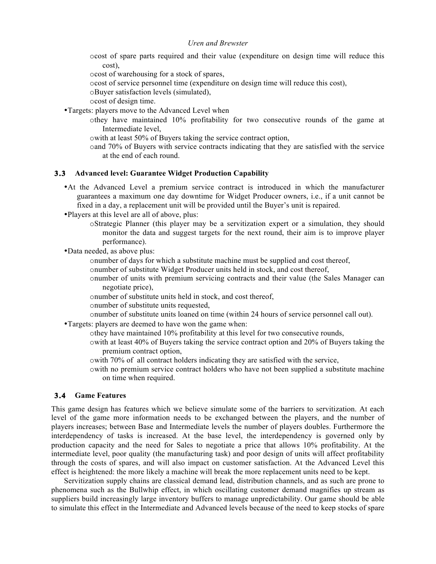ocost of spare parts required and their value (expenditure on design time will reduce this cost),

ocost of warehousing for a stock of spares,

ocost of service personnel time (expenditure on design time will reduce this cost),

oBuyer satisfaction levels (simulated),

ocost of design time.

•Targets: players move to the Advanced Level when

- othey have maintained 10% profitability for two consecutive rounds of the game at Intermediate level,
- owith at least 50% of Buyers taking the service contract option,
- oand 70% of Buyers with service contracts indicating that they are satisfied with the service at the end of each round.

#### **3.3 Advanced level: Guarantee Widget Production Capability**

- •At the Advanced Level a premium service contract is introduced in which the manufacturer guarantees a maximum one day downtime for Widget Producer owners, i.e., if a unit cannot be fixed in a day, a replacement unit will be provided until the Buyer's unit is repaired.
- •Players at this level are all of above, plus:
	- oStrategic Planner (this player may be a servitization expert or a simulation, they should monitor the data and suggest targets for the next round, their aim is to improve player performance).
- •Data needed, as above plus:
	- onumber of days for which a substitute machine must be supplied and cost thereof,
	- onumber of substitute Widget Producer units held in stock, and cost thereof,
	- onumber of units with premium servicing contracts and their value (the Sales Manager can negotiate price),
	- onumber of substitute units held in stock, and cost thereof,
	- onumber of substitute units requested,
	- onumber of substitute units loaned on time (within 24 hours of service personnel call out).

•Targets: players are deemed to have won the game when:

- othey have maintained 10% profitability at this level for two consecutive rounds,
	- owith at least 40% of Buyers taking the service contract option and 20% of Buyers taking the premium contract option,
	- owith 70% of all contract holders indicating they are satisfied with the service,
	- owith no premium service contract holders who have not been supplied a substitute machine on time when required.

# **3.4 Game Features**

This game design has features which we believe simulate some of the barriers to servitization. At each level of the game more information needs to be exchanged between the players, and the number of players increases; between Base and Intermediate levels the number of players doubles. Furthermore the interdependency of tasks is increased. At the base level, the interdependency is governed only by production capacity and the need for Sales to negotiate a price that allows 10% profitability. At the intermediate level, poor quality (the manufacturing task) and poor design of units will affect profitability through the costs of spares, and will also impact on customer satisfaction. At the Advanced Level this effect is heightened: the more likely a machine will break the more replacement units need to be kept.

Servitization supply chains are classical demand lead, distribution channels, and as such are prone to phenomena such as the Bullwhip effect, in which oscillating customer demand magnifies up stream as suppliers build increasingly large inventory buffers to manage unpredictability. Our game should be able to simulate this effect in the Intermediate and Advanced levels because of the need to keep stocks of spare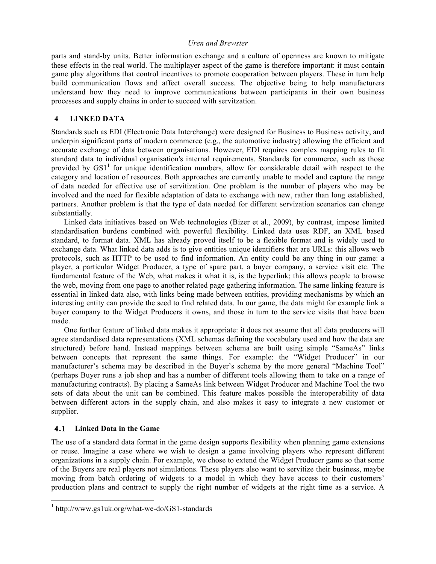parts and stand-by units. Better information exchange and a culture of openness are known to mitigate these effects in the real world. The multiplayer aspect of the game is therefore important: it must contain game play algorithms that control incentives to promote cooperation between players. These in turn help build communication flows and affect overall success. The objective being to help manufacturers understand how they need to improve communications between participants in their own business processes and supply chains in order to succeed with servitzation.

## **4 LINKED DATA**

Standards such as EDI (Electronic Data Interchange) were designed for Business to Business activity, and underpin significant parts of modern commerce (e.g., the automotive industry) allowing the efficient and accurate exchange of data between organisations. However, EDI requires complex mapping rules to fit standard data to individual organisation's internal requirements. Standards for commerce, such as those provided by  $GS1<sup>1</sup>$  for unique identification numbers, allow for considerable detail with respect to the category and location of resources. Both approaches are currently unable to model and capture the range of data needed for effective use of servitization. One problem is the number of players who may be involved and the need for flexible adaptation of data to exchange with new, rather than long established, partners. Another problem is that the type of data needed for different servization scenarios can change substantially.

Linked data initiatives based on Web technologies (Bizer et al., 2009), by contrast, impose limited standardisation burdens combined with powerful flexibility. Linked data uses RDF, an XML based standard, to format data. XML has already proved itself to be a flexible format and is widely used to exchange data. What linked data adds is to give entities unique identifiers that are URLs: this allows web protocols, such as HTTP to be used to find information. An entity could be any thing in our game: a player, a particular Widget Producer, a type of spare part, a buyer company, a service visit etc. The fundamental feature of the Web, what makes it what it is, is the hyperlink; this allows people to browse the web, moving from one page to another related page gathering information. The same linking feature is essential in linked data also, with links being made between entities, providing mechanisms by which an interesting entity can provide the seed to find related data. In our game, the data might for example link a buyer company to the Widget Producers it owns, and those in turn to the service visits that have been made.

One further feature of linked data makes it appropriate: it does not assume that all data producers will agree standardised data representations (XML schemas defining the vocabulary used and how the data are structured) before hand. Instead mappings between schema are built using simple "SameAs" links between concepts that represent the same things. For example: the "Widget Producer" in our manufacturer's schema may be described in the Buyer's schema by the more general "Machine Tool" (perhaps Buyer runs a job shop and has a number of different tools allowing them to take on a range of manufacturing contracts). By placing a SameAs link between Widget Producer and Machine Tool the two sets of data about the unit can be combined. This feature makes possible the interoperability of data between different actors in the supply chain, and also makes it easy to integrate a new customer or supplier.

# **4.1 Linked Data in the Game**

The use of a standard data format in the game design supports flexibility when planning game extensions or reuse. Imagine a case where we wish to design a game involving players who represent different organizations in a supply chain. For example, we chose to extend the Widget Producer game so that some of the Buyers are real players not simulations. These players also want to servitize their business, maybe moving from batch ordering of widgets to a model in which they have access to their customers' production plans and contract to supply the right number of widgets at the right time as a service. A

 <sup>1</sup> http://www.gs1uk.org/what-we-do/GS1-standards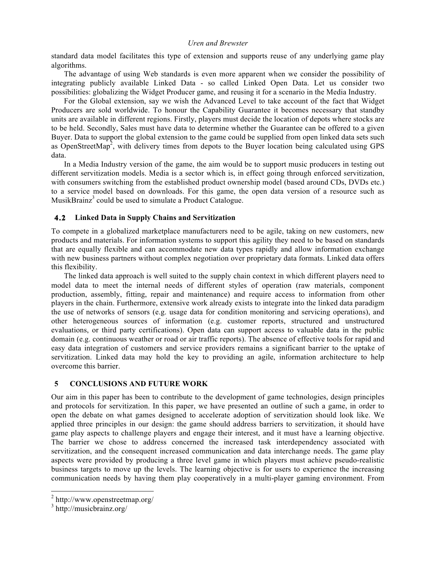standard data model facilitates this type of extension and supports reuse of any underlying game play algorithms.

The advantage of using Web standards is even more apparent when we consider the possibility of integrating publicly available Linked Data - so called Linked Open Data. Let us consider two possibilities: globalizing the Widget Producer game, and reusing it for a scenario in the Media Industry.

For the Global extension, say we wish the Advanced Level to take account of the fact that Widget Producers are sold worldwide. To honour the Capability Guarantee it becomes necessary that standby units are available in different regions. Firstly, players must decide the location of depots where stocks are to be held. Secondly, Sales must have data to determine whether the Guarantee can be offered to a given Buyer. Data to support the global extension to the game could be supplied from open linked data sets such as OpenStreetMap<sup>2</sup>, with delivery times from depots to the Buyer location being calculated using GPS data.

In a Media Industry version of the game, the aim would be to support music producers in testing out different servitization models. Media is a sector which is, in effect going through enforced servitization, with consumers switching from the established product ownership model (based around CDs, DVDs etc.) to a service model based on downloads. For this game, the open data version of a resource such as MusikBrainz<sup>3</sup> could be used to simulate a Product Catalogue.

## **4.2 Linked Data in Supply Chains and Servitization**

To compete in a globalized marketplace manufacturers need to be agile, taking on new customers, new products and materials. For information systems to support this agility they need to be based on standards that are equally flexible and can accommodate new data types rapidly and allow information exchange with new business partners without complex negotiation over proprietary data formats. Linked data offers this flexibility.

The linked data approach is well suited to the supply chain context in which different players need to model data to meet the internal needs of different styles of operation (raw materials, component production, assembly, fitting, repair and maintenance) and require access to information from other players in the chain. Furthermore, extensive work already exists to integrate into the linked data paradigm the use of networks of sensors (e.g. usage data for condition monitoring and servicing operations), and other heterogeneous sources of information (e.g. customer reports, structured and unstructured evaluations, or third party certifications). Open data can support access to valuable data in the public domain (e.g. continuous weather or road or air traffic reports). The absence of effective tools for rapid and easy data integration of customers and service providers remains a significant barrier to the uptake of servitization. Linked data may hold the key to providing an agile, information architecture to help overcome this barrier.

## **5 CONCLUSIONS AND FUTURE WORK**

Our aim in this paper has been to contribute to the development of game technologies, design principles and protocols for servitization. In this paper, we have presented an outline of such a game, in order to open the debate on what games designed to accelerate adoption of servitization should look like. We applied three principles in our design: the game should address barriers to servitization, it should have game play aspects to challenge players and engage their interest, and it must have a learning objective. The barrier we chose to address concerned the increased task interdependency associated with servitization, and the consequent increased communication and data interchange needs. The game play aspects were provided by producing a three level game in which players must achieve pseudo-realistic business targets to move up the levels. The learning objective is for users to experience the increasing communication needs by having them play cooperatively in a multi-player gaming environment. From

 <sup>2</sup> http://www.openstreetmap.org/

<sup>3</sup> http://musicbrainz.org/